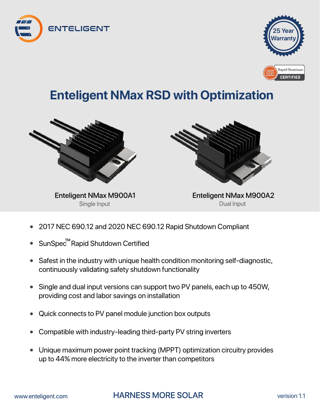



## **Enteligent NMax RSD with Optimization**



Single Input



Enteligent NMax M900A1 Enteligent NMax M900A2 Dual Input

- 2017 NEC 690.12 and 2020 NEC 690.12 Rapid Shutdown Compliant
- SunSpec<sup>™</sup>Rapid Shutdown Certified
- Safest in the industry with unique health condition monitoring self-diagnostic, continuously validating safety shutdown functionality
- Single and dual input versions can support two PV panels, each up to 450W, providing cost and labor savings on installation
- Quick connects to PV panel module junction box outputs
- Compatible with industry-leading third-party PV string inverters
- Unique maximum power point tracking (MPPT) optimization circuitry provides up to 44% more electricity to the inverter than competitors